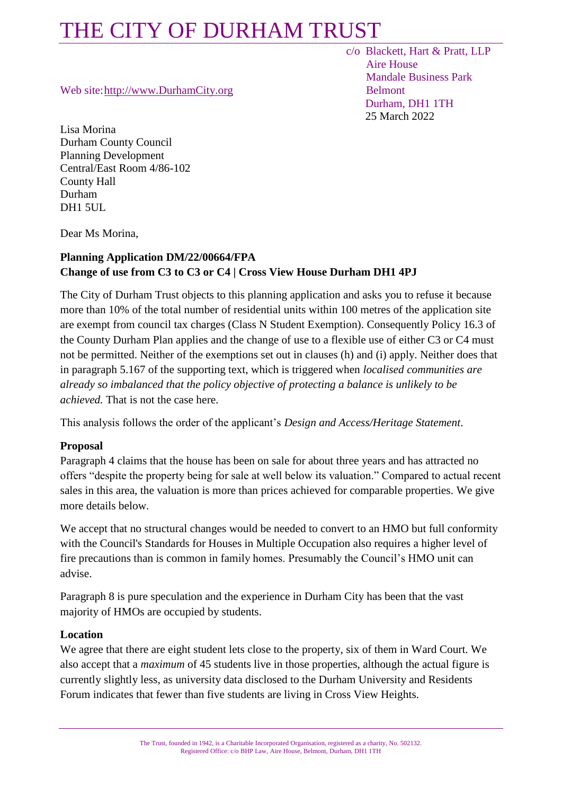Web site[:http://www.DurhamCity.org](http://www.durhamcity.org/) Belmont

Lisa Morina Durham County Council Planning Development Central/East Room 4/86-102 County Hall Durham DH1 5UL.

Dear Ms Morina,

### **Planning Application DM/22/00664/FPA Change of use from C3 to C3 or C4 | Cross View House Durham DH1 4PJ**

The City of Durham Trust objects to this planning application and asks you to refuse it because more than 10% of the total number of residential units within 100 metres of the application site are exempt from council tax charges (Class N Student Exemption). Consequently Policy 16.3 of the County Durham Plan applies and the change of use to a flexible use of either C3 or C4 must not be permitted. Neither of the exemptions set out in clauses (h) and (i) apply. Neither does that in paragraph 5.167 of the supporting text, which is triggered when *localised communities are already so imbalanced that the policy objective of protecting a balance is unlikely to be achieved.* That is not the case here.

This analysis follows the order of the applicant's *Design and Access/Heritage Statement*.

### **Proposal**

Paragraph 4 claims that the house has been on sale for about three years and has attracted no offers "despite the property being for sale at well below its valuation." Compared to actual recent sales in this area, the valuation is more than prices achieved for comparable properties. We give more details below.

We accept that no structural changes would be needed to convert to an HMO but full conformity with the Council's Standards for Houses in Multiple Occupation also requires a higher level of fire precautions than is common in family homes. Presumably the Council's HMO unit can advise.

Paragraph 8 is pure speculation and the experience in Durham City has been that the vast majority of HMOs are occupied by students.

#### **Location**

We agree that there are eight student lets close to the property, six of them in Ward Court. We also accept that a *maximum* of 45 students live in those properties, although the actual figure is currently slightly less, as university data disclosed to the Durham University and Residents Forum indicates that fewer than five students are living in Cross View Heights.

 c/o Blackett, Hart & Pratt, LLP Aire House Mandale Business Park Durham, DH1 1TH 25 March 2022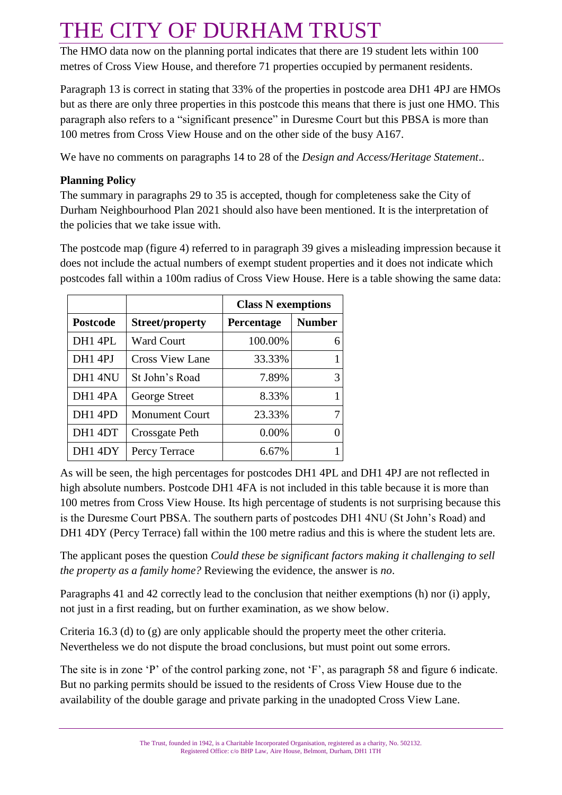The HMO data now on the planning portal indicates that there are 19 student lets within 100 metres of Cross View House, and therefore 71 properties occupied by permanent residents.

Paragraph 13 is correct in stating that 33% of the properties in postcode area DH1 4PJ are HMOs but as there are only three properties in this postcode this means that there is just one HMO. This paragraph also refers to a "significant presence" in Duresme Court but this PBSA is more than 100 metres from Cross View House and on the other side of the busy A167.

We have no comments on paragraphs 14 to 28 of the *Design and Access/Heritage Statement*..

### **Planning Policy**

The summary in paragraphs 29 to 35 is accepted, though for completeness sake the City of Durham Neighbourhood Plan 2021 should also have been mentioned. It is the interpretation of the policies that we take issue with.

The postcode map (figure 4) referred to in paragraph 39 gives a misleading impression because it does not include the actual numbers of exempt student properties and it does not indicate which postcodes fall within a 100m radius of Cross View House. Here is a table showing the same data:

|                     |                        | <b>Class N</b> exemptions |               |
|---------------------|------------------------|---------------------------|---------------|
| <b>Postcode</b>     | <b>Street/property</b> | Percentage                | <b>Number</b> |
| DH1 4PL             | Ward Court             | 100.00%                   | 6             |
| DH1 4PJ             | <b>Cross View Lane</b> | 33.33%                    |               |
| DH1 4NU             | St John's Road         | 7.89%                     | 3             |
| DH <sub>1</sub> 4PA | George Street          | 8.33%                     |               |
| DH <sub>1</sub> 4PD | <b>Monument Court</b>  | 23.33%                    |               |
| DH1 4DT             | Crossgate Peth         | 0.00%                     |               |
| DH1 4DY             | Percy Terrace          | 6.67%                     |               |

As will be seen, the high percentages for postcodes DH1 4PL and DH1 4PJ are not reflected in high absolute numbers. Postcode DH1 4FA is not included in this table because it is more than 100 metres from Cross View House. Its high percentage of students is not surprising because this is the Duresme Court PBSA. The southern parts of postcodes DH1 4NU (St John's Road) and DH1 4DY (Percy Terrace) fall within the 100 metre radius and this is where the student lets are.

The applicant poses the question *Could these be significant factors making it challenging to sell the property as a family home?* Reviewing the evidence, the answer is *no*.

Paragraphs 41 and 42 correctly lead to the conclusion that neither exemptions (h) nor (i) apply, not just in a first reading, but on further examination, as we show below.

Criteria 16.3 (d) to (g) are only applicable should the property meet the other criteria. Nevertheless we do not dispute the broad conclusions, but must point out some errors.

The site is in zone 'P' of the control parking zone, not 'F', as paragraph 58 and figure 6 indicate. But no parking permits should be issued to the residents of Cross View House due to the availability of the double garage and private parking in the unadopted Cross View Lane.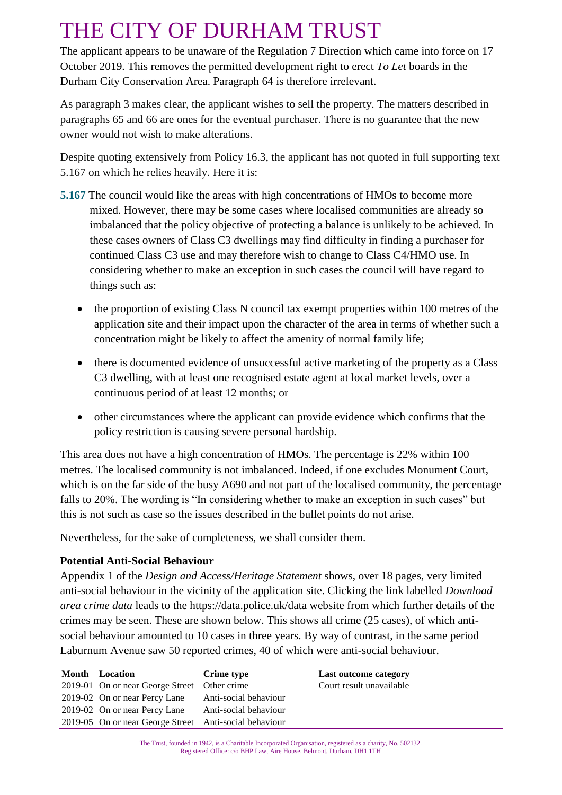The applicant appears to be unaware of the Regulation 7 Direction which came into force on 17 October 2019. This removes the permitted development right to erect *To Let* boards in the Durham City Conservation Area. Paragraph 64 is therefore irrelevant.

As paragraph 3 makes clear, the applicant wishes to sell the property. The matters described in paragraphs 65 and 66 are ones for the eventual purchaser. There is no guarantee that the new owner would not wish to make alterations.

Despite quoting extensively from Policy 16.3, the applicant has not quoted in full supporting text 5.167 on which he relies heavily. Here it is:

- **5.167** The council would like the areas with high concentrations of HMOs to become more mixed. However, there may be some cases where localised communities are already so imbalanced that the policy objective of protecting a balance is unlikely to be achieved. In these cases owners of Class C3 dwellings may find difficulty in finding a purchaser for continued Class C3 use and may therefore wish to change to Class C4/HMO use. In considering whether to make an exception in such cases the council will have regard to things such as:
	- the proportion of existing Class N council tax exempt properties within 100 metres of the application site and their impact upon the character of the area in terms of whether such a concentration might be likely to affect the amenity of normal family life;
	- there is documented evidence of unsuccessful active marketing of the property as a Class C3 dwelling, with at least one recognised estate agent at local market levels, over a continuous period of at least 12 months; or
	- other circumstances where the applicant can provide evidence which confirms that the policy restriction is causing severe personal hardship.

This area does not have a high concentration of HMOs. The percentage is 22% within 100 metres. The localised community is not imbalanced. Indeed, if one excludes Monument Court, which is on the far side of the busy A690 and not part of the localised community, the percentage falls to 20%. The wording is "In considering whether to make an exception in such cases" but this is not such as case so the issues described in the bullet points do not arise.

Nevertheless, for the sake of completeness, we shall consider them.

### **Potential Anti-Social Behaviour**

Appendix 1 of the *Design and Access/Heritage Statement* shows, over 18 pages, very limited anti-social behaviour in the vicinity of the application site. Clicking the link labelled *Download area crime data* leads to the<https://data.police.uk/data> website from which further details of the crimes may be seen. These are shown below. This shows all crime (25 cases), of which antisocial behaviour amounted to 10 cases in three years. By way of contrast, in the same period Laburnum Avenue saw 50 reported crimes, 40 of which were anti-social behaviour.

| <b>Month</b> Location                                  | Crime type            | Last outcome category    |
|--------------------------------------------------------|-----------------------|--------------------------|
| 2019-01 On or near George Street Other crime           |                       | Court result unavailable |
| 2019-02 On or near Percy Lane                          | Anti-social behaviour |                          |
| 2019-02 On or near Percy Lane                          | Anti-social behaviour |                          |
| 2019-05 On or near George Street Anti-social behaviour |                       |                          |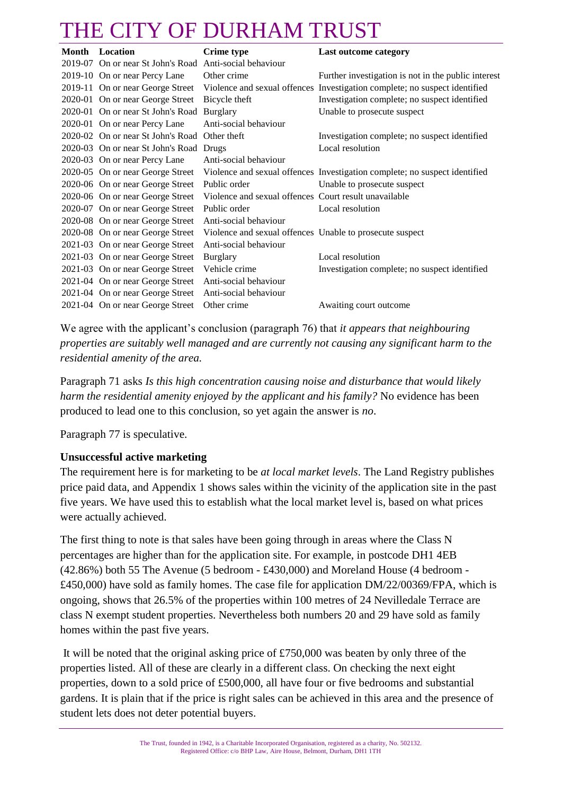| <b>Month</b> | Location                                                | <b>Crime</b> type                                        | Last outcome category                                                      |
|--------------|---------------------------------------------------------|----------------------------------------------------------|----------------------------------------------------------------------------|
|              | 2019-07 On or near St John's Road Anti-social behaviour |                                                          |                                                                            |
|              | 2019-10 On or near Percy Lane                           | Other crime                                              | Further investigation is not in the public interest                        |
|              | 2019-11 On or near George Street                        |                                                          | Violence and sexual offences Investigation complete; no suspect identified |
|              | 2020-01 On or near George Street                        | Bicycle theft                                            | Investigation complete; no suspect identified                              |
|              | 2020-01 On or near St John's Road                       | <b>Burglary</b>                                          | Unable to prosecute suspect                                                |
|              | 2020-01 On or near Percy Lane                           | Anti-social behaviour                                    |                                                                            |
|              | 2020-02 On or near St John's Road                       | Other theft                                              | Investigation complete; no suspect identified                              |
|              | 2020-03 On or near St John's Road Drugs                 |                                                          | Local resolution                                                           |
|              | 2020-03 On or near Percy Lane                           | Anti-social behaviour                                    |                                                                            |
|              | 2020-05 On or near George Street                        |                                                          | Violence and sexual offences Investigation complete; no suspect identified |
|              | 2020-06 On or near George Street                        | Public order                                             | Unable to prosecute suspect                                                |
|              | 2020-06 On or near George Street                        | Violence and sexual offences Court result unavailable    |                                                                            |
|              | 2020-07 On or near George Street                        | Public order                                             | Local resolution                                                           |
|              | 2020-08 On or near George Street                        | Anti-social behaviour                                    |                                                                            |
|              | 2020-08 On or near George Street                        | Violence and sexual offences Unable to prosecute suspect |                                                                            |
|              | 2021-03 On or near George Street                        | Anti-social behaviour                                    |                                                                            |
|              | 2021-03 On or near George Street                        | <b>Burglary</b>                                          | Local resolution                                                           |
|              | 2021-03 On or near George Street                        | Vehicle crime                                            | Investigation complete; no suspect identified                              |
|              | 2021-04 On or near George Street                        | Anti-social behaviour                                    |                                                                            |
|              | 2021-04 On or near George Street                        | Anti-social behaviour                                    |                                                                            |
|              | 2021-04 On or near George Street                        | Other crime                                              | Awaiting court outcome                                                     |

We agree with the applicant's conclusion (paragraph 76) that *it appears that neighbouring properties are suitably well managed and are currently not causing any significant harm to the residential amenity of the area.*

Paragraph 71 asks *Is this high concentration causing noise and disturbance that would likely harm the residential amenity enjoyed by the applicant and his family?* No evidence has been produced to lead one to this conclusion, so yet again the answer is *no*.

Paragraph 77 is speculative.

#### **Unsuccessful active marketing**

The requirement here is for marketing to be *at local market levels*. The Land Registry publishes price paid data, and Appendix 1 shows sales within the vicinity of the application site in the past five years. We have used this to establish what the local market level is, based on what prices were actually achieved.

The first thing to note is that sales have been going through in areas where the Class N percentages are higher than for the application site. For example, in postcode DH1 4EB (42.86%) both 55 The Avenue (5 bedroom - £430,000) and Moreland House (4 bedroom - £450,000) have sold as family homes. The case file for application DM/22/00369/FPA, which is ongoing, shows that 26.5% of the properties within 100 metres of 24 Nevilledale Terrace are class N exempt student properties. Nevertheless both numbers 20 and 29 have sold as family homes within the past five years.

It will be noted that the original asking price of £750,000 was beaten by only three of the properties listed. All of these are clearly in a different class. On checking the next eight properties, down to a sold price of £500,000, all have four or five bedrooms and substantial gardens. It is plain that if the price is right sales can be achieved in this area and the presence of student lets does not deter potential buyers.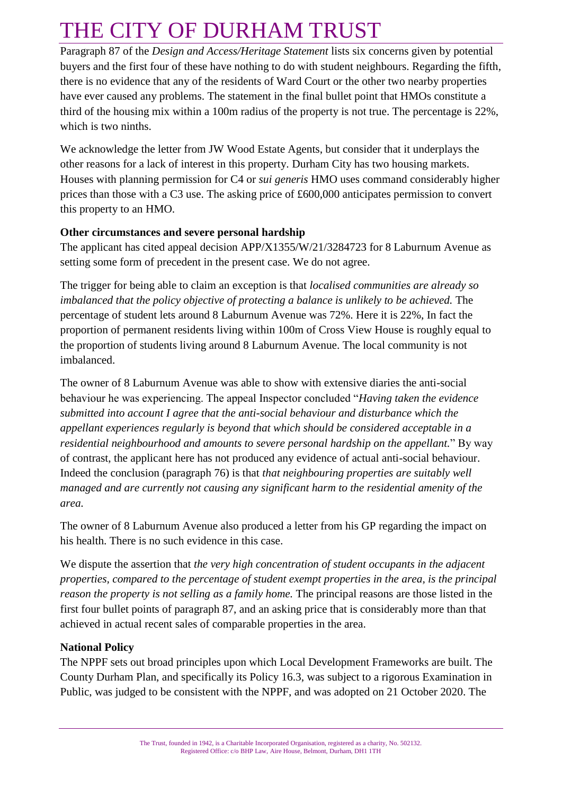Paragraph 87 of the *Design and Access/Heritage Statement* lists six concerns given by potential buyers and the first four of these have nothing to do with student neighbours. Regarding the fifth, there is no evidence that any of the residents of Ward Court or the other two nearby properties have ever caused any problems. The statement in the final bullet point that HMOs constitute a third of the housing mix within a 100m radius of the property is not true. The percentage is 22%, which is two ninths.

We acknowledge the letter from JW Wood Estate Agents, but consider that it underplays the other reasons for a lack of interest in this property. Durham City has two housing markets. Houses with planning permission for C4 or *sui generis* HMO uses command considerably higher prices than those with a C3 use. The asking price of £600,000 anticipates permission to convert this property to an HMO.

#### **Other circumstances and severe personal hardship**

The applicant has cited appeal decision APP/X1355/W/21/3284723 for 8 Laburnum Avenue as setting some form of precedent in the present case. We do not agree.

The trigger for being able to claim an exception is that *localised communities are already so imbalanced that the policy objective of protecting a balance is unlikely to be achieved.* The percentage of student lets around 8 Laburnum Avenue was 72%. Here it is 22%, In fact the proportion of permanent residents living within 100m of Cross View House is roughly equal to the proportion of students living around 8 Laburnum Avenue. The local community is not imbalanced.

The owner of 8 Laburnum Avenue was able to show with extensive diaries the anti-social behaviour he was experiencing. The appeal Inspector concluded "*Having taken the evidence submitted into account I agree that the anti-social behaviour and disturbance which the appellant experiences regularly is beyond that which should be considered acceptable in a residential neighbourhood and amounts to severe personal hardship on the appellant.*" By way of contrast, the applicant here has not produced any evidence of actual anti-social behaviour. Indeed the conclusion (paragraph 76) is that *that neighbouring properties are suitably well managed and are currently not causing any significant harm to the residential amenity of the area.*

The owner of 8 Laburnum Avenue also produced a letter from his GP regarding the impact on his health. There is no such evidence in this case.

We dispute the assertion that *the very high concentration of student occupants in the adjacent properties, compared to the percentage of student exempt properties in the area, is the principal reason the property is not selling as a family home.* The principal reasons are those listed in the first four bullet points of paragraph 87, and an asking price that is considerably more than that achieved in actual recent sales of comparable properties in the area.

### **National Policy**

The NPPF sets out broad principles upon which Local Development Frameworks are built. The County Durham Plan, and specifically its Policy 16.3, was subject to a rigorous Examination in Public, was judged to be consistent with the NPPF, and was adopted on 21 October 2020. The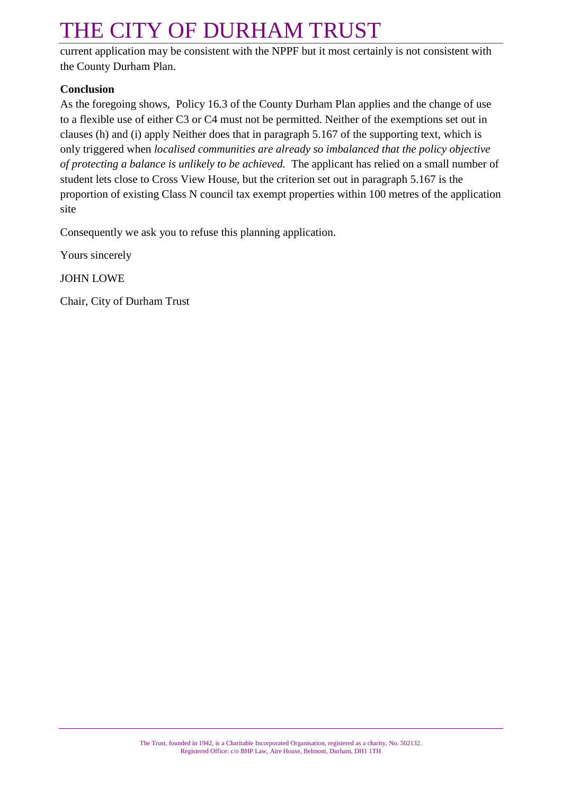current application may be consistent with the NPPF but it most certainly is not consistent with the County Durham Plan.

#### **Conclusion**

As the foregoing shows, Policy 16.3 of the County Durham Plan applies and the change of use to a flexible use of either C3 or C4 must not be permitted. Neither of the exemptions set out in clauses (h) and (i) apply Neither does that in paragraph 5.167 of the supporting text, which is only triggered when *localised communities are already so imbalanced that the policy objective of protecting a balance is unlikely to be achieved.* The applicant has relied on a small number of student lets close to Cross View House, but the criterion set out in paragraph 5.167 is the proportion of existing Class N council tax exempt properties within 100 metres of the application site

Consequently we ask you to refuse this planning application.

Yours sincerely

JOHN LOWE

Chair, City of Durham Trust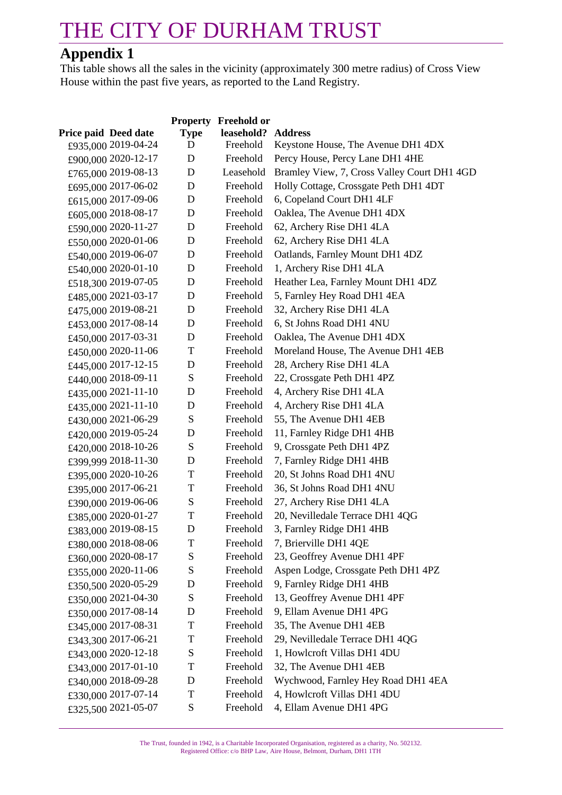### **Appendix 1**

This table shows all the sales in the vicinity (approximately 300 metre radius) of Cross View House within the past five years, as reported to the Land Registry.

|                             |             | <b>Property Freehold or</b> |                                             |
|-----------------------------|-------------|-----------------------------|---------------------------------------------|
| <b>Price paid Deed date</b> | <b>Type</b> | leasehold? Address          |                                             |
| £935,000 2019-04-24         | D           | Freehold                    | Keystone House, The Avenue DH1 4DX          |
| £900,000 2020-12-17         | D           | Freehold                    | Percy House, Percy Lane DH1 4HE             |
| £765,000 2019-08-13         | D           | Leasehold                   | Bramley View, 7, Cross Valley Court DH1 4GD |
| £695,000 2017-06-02         | D           | Freehold                    | Holly Cottage, Crossgate Peth DH1 4DT       |
| £615,000 2017-09-06         | D           | Freehold                    | 6, Copeland Court DH1 4LF                   |
| £605,000 2018-08-17         | D           | Freehold                    | Oaklea, The Avenue DH1 4DX                  |
| £590,000 2020-11-27         | D           | Freehold                    | 62, Archery Rise DH1 4LA                    |
| £550,000 2020-01-06         | D           | Freehold                    | 62, Archery Rise DH1 4LA                    |
| £540,000 2019-06-07         | D           | Freehold                    | Oatlands, Farnley Mount DH1 4DZ             |
| £540,000 2020-01-10         | D           | Freehold                    | 1, Archery Rise DH1 4LA                     |
| £518,300 2019-07-05         | D           | Freehold                    | Heather Lea, Farnley Mount DH1 4DZ          |
| £485,000 2021-03-17         | D           | Freehold                    | 5, Farnley Hey Road DH1 4EA                 |
| £475,000 2019-08-21         | D           | Freehold                    | 32, Archery Rise DH1 4LA                    |
| £453,000 2017-08-14         | D           | Freehold                    | 6, St Johns Road DH1 4NU                    |
| £450,000 2017-03-31         | D           | Freehold                    | Oaklea, The Avenue DH1 4DX                  |
| £450,000 2020-11-06         | T           | Freehold                    | Moreland House, The Avenue DH1 4EB          |
| £445,000 2017-12-15         | D           | Freehold                    | 28, Archery Rise DH1 4LA                    |
| £440,000 2018-09-11         | S           | Freehold                    | 22, Crossgate Peth DH1 4PZ                  |
| £435,000 2021-11-10         | D           | Freehold                    | 4, Archery Rise DH1 4LA                     |
| £435,000 2021-11-10         | D           | Freehold                    | 4, Archery Rise DH1 4LA                     |
| £430,000 2021-06-29         | S           | Freehold                    | 55, The Avenue DH1 4EB                      |
| £420,000 2019-05-24         | D           | Freehold                    | 11, Farnley Ridge DH1 4HB                   |
| £420,000 2018-10-26         | S           | Freehold                    | 9, Crossgate Peth DH1 4PZ                   |
| £399,999 2018-11-30         | D           | Freehold                    | 7, Farnley Ridge DH1 4HB                    |
| £395,000 2020-10-26         | T           | Freehold                    | 20, St Johns Road DH1 4NU                   |
| £395,000 2017-06-21         | T           | Freehold                    | 36, St Johns Road DH1 4NU                   |
| £390,000 2019-06-06         | S           | Freehold                    | 27, Archery Rise DH1 4LA                    |
| £385,000 2020-01-27         | T           | Freehold                    | 20, Nevilledale Terrace DH1 4QG             |
| £383,000 2019-08-15         | D           | Freehold                    | 3, Farnley Ridge DH1 4HB                    |
| £380,000 2018-08-06         | T           | Freehold                    | 7, Brierville DH1 4QE                       |
| £360,000 2020-08-17         | ${\bf S}$   | Freehold                    | 23, Geoffrey Avenue DH1 4PF                 |
| £355,000 2020-11-06         | S           | Freehold                    | Aspen Lodge, Crossgate Peth DH1 4PZ         |
| £350,500 2020-05-29         | D           | Freehold                    | 9, Farnley Ridge DH1 4HB                    |
| £350,000 2021-04-30         | S           | Freehold                    | 13, Geoffrey Avenue DH1 4PF                 |
| £350,000 2017-08-14         | D           | Freehold                    | 9, Ellam Avenue DH1 4PG                     |
| £345,000 2017-08-31         | T           | Freehold                    | 35, The Avenue DH1 4EB                      |
| £343,300 2017-06-21         | T           | Freehold                    | 29, Nevilledale Terrace DH1 4QG             |
| £343,000 2020-12-18         | S           | Freehold                    | 1, Howlcroft Villas DH1 4DU                 |
| £343,000 2017-01-10         | T           | Freehold                    | 32, The Avenue DH1 4EB                      |
| £340,000 2018-09-28         | D           | Freehold                    | Wychwood, Farnley Hey Road DH1 4EA          |
| £330,000 2017-07-14         | T           | Freehold                    | 4, Howlcroft Villas DH1 4DU                 |
| £325,500 2021-05-07         | S           | Freehold                    | 4, Ellam Avenue DH1 4PG                     |